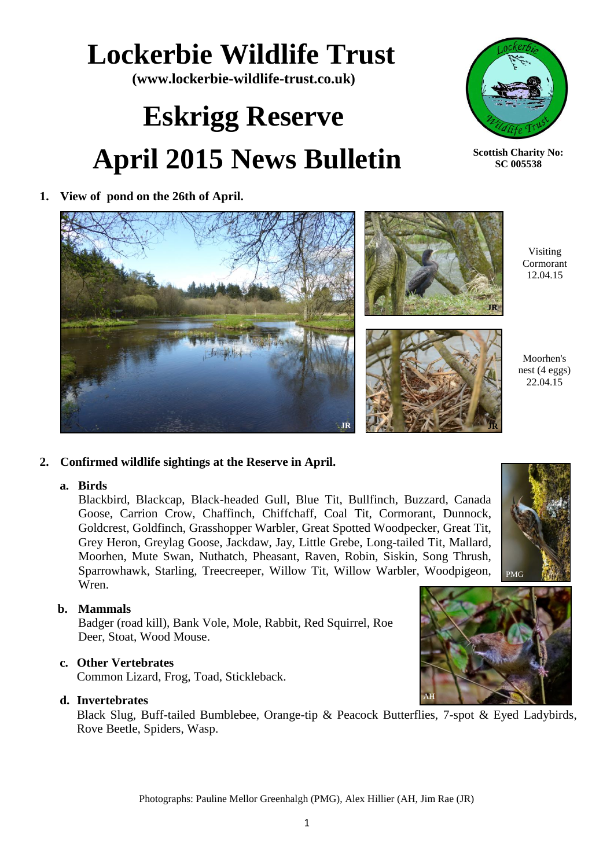### Photographs: Pauline Mellor Greenhalgh (PMG), Alex Hillier (AH, Jim Rae (JR)

## **Lockerbie Wildlife Trust**

**(www.lockerbie-wildlife-trust.co.uk)**

# **Eskrigg Reserve April 2015 News Bulletin**

**1. View of pond on the 26th of April.**

#### **2. Confirmed wildlife sightings at the Reserve in April.**

一句标题作本

#### **a. Birds**

Blackbird, Blackcap, Black-headed Gull, Blue Tit, Bullfinch, Buzzard, Canada Goose, Carrion Crow, Chaffinch, Chiffchaff, Coal Tit, Cormorant, Dunnock, Goldcrest, Goldfinch, Grasshopper Warbler, Great Spotted Woodpecker, Great Tit, Grey Heron, Greylag Goose, Jackdaw, Jay, Little Grebe, Long-tailed Tit, Mallard, Moorhen, Mute Swan, Nuthatch, Pheasant, Raven, Robin, Siskin, Song Thrush, Sparrowhawk, Starling, Treecreeper, Willow Tit, Willow Warbler, Woodpigeon, Wren.

#### **b. Mammals**

Badger (road kill), Bank Vole, Mole, Rabbit, Red Squirrel, Roe Deer, Stoat, Wood Mouse.

#### **c. Other Vertebrates**

Common Lizard, Frog, Toad, Stickleback.

#### **d. Invertebrates**

Black Slug, Buff-tailed Bumblebee, Orange-tip & Peacock Butterflies, 7-spot & Eyed Ladybirds, Rove Beetle, Spiders, Wasp.

Moorhen's nest (4 eggs) 22.04.15

Visiting Cormorant 12.04.15



**JR**







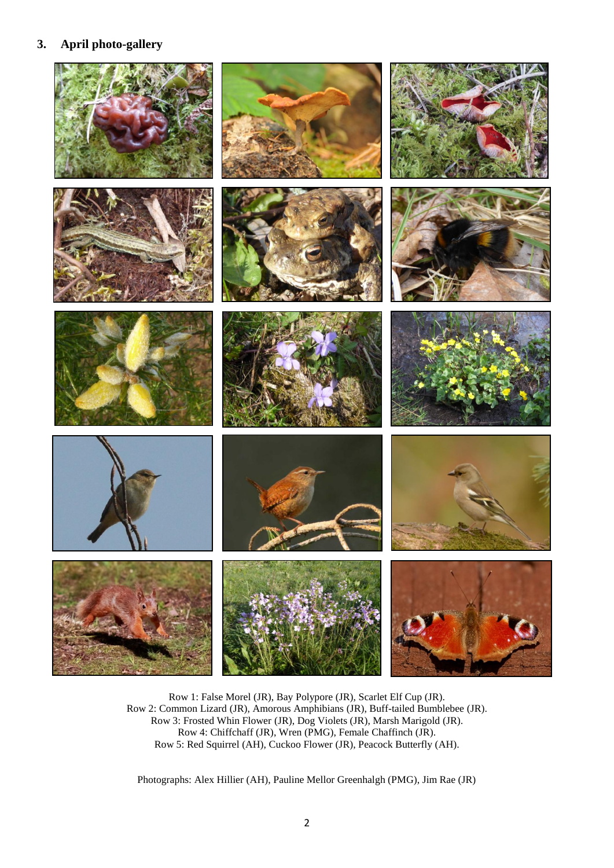#### **3. April photo-gallery**



Row 1: False Morel (JR), Bay Polypore (JR), Scarlet Elf Cup (JR). Row 2: Common Lizard (JR), Amorous Amphibians (JR), Buff-tailed Bumblebee (JR). Row 3: Frosted Whin Flower (JR), Dog Violets (JR), Marsh Marigold (JR). Row 4: Chiffchaff (JR), Wren (PMG), Female Chaffinch (JR). Row 5: Red Squirrel (AH), Cuckoo Flower (JR), Peacock Butterfly (AH).

Photographs: Alex Hillier (AH), Pauline Mellor Greenhalgh (PMG), Jim Rae (JR)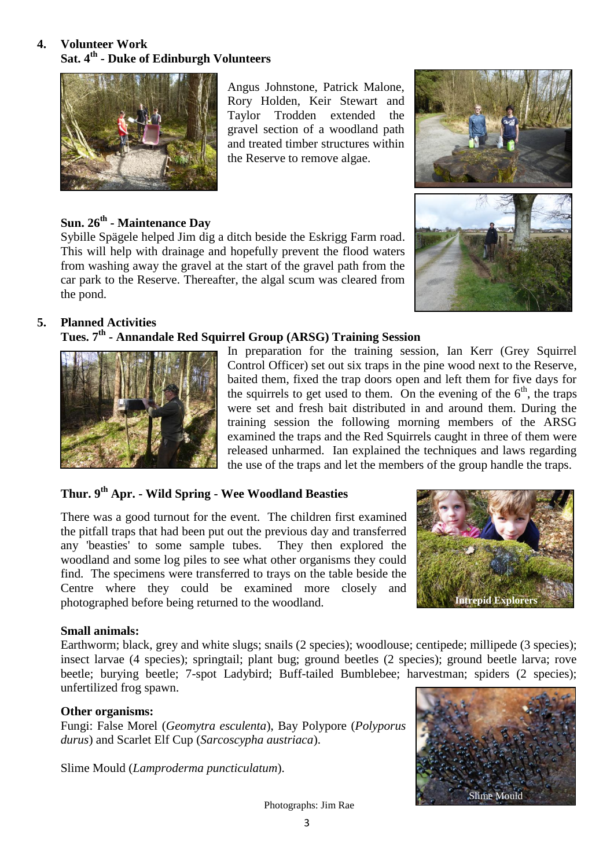#### **4. Volunteer Work Sat. 4th - Duke of Edinburgh Volunteers**



Angus Johnstone, Patrick Malone, Rory Holden, Keir Stewart and Taylor Trodden extended the gravel section of a woodland path and treated timber structures within the Reserve to remove algae.



#### **Sun. 26th - Maintenance Day**

Sybille Spägele helped Jim dig a ditch beside the Eskrigg Farm road. This will help with drainage and hopefully prevent the flood waters from washing away the gravel at the start of the gravel path from the car park to the Reserve. Thereafter, the algal scum was cleared from the pond.

#### **5. Planned Activities**

#### **Tues. 7th - Annandale Red Squirrel Group (ARSG) Training Session**



In preparation for the training session, Ian Kerr (Grey Squirrel Control Officer) set out six traps in the pine wood next to the Reserve, baited them, fixed the trap doors open and left them for five days for the squirrels to get used to them. On the evening of the  $6<sup>th</sup>$ , the traps were set and fresh bait distributed in and around them. During the training session the following morning members of the ARSG examined the traps and the Red Squirrels caught in three of them were released unharmed. Ian explained the techniques and laws regarding the use of the traps and let the members of the group handle the traps.

#### **Thur. 9 th Apr. - Wild Spring - Wee Woodland Beasties**

There was a good turnout for the event. The children first examined the pitfall traps that had been put out the previous day and transferred any 'beasties' to some sample tubes. They then explored the woodland and some log piles to see what other organisms they could find. The specimens were transferred to trays on the table beside the Centre where they could be examined more closely and photographed before being returned to the woodland.



#### **Small animals:**

Earthworm; black, grey and white slugs; snails (2 species); woodlouse; centipede; millipede (3 species); insect larvae (4 species); springtail; plant bug; ground beetles (2 species); ground beetle larva; rove beetle; burying beetle; 7-spot Ladybird; Buff-tailed Bumblebee; harvestman; spiders (2 species); unfertilized frog spawn.

#### **Other organisms:**

Fungi: False Morel (*Geomytra esculenta*), Bay Polypore (*Polyporus durus*) and Scarlet Elf Cup (*Sarcoscypha austriaca*).

Slime Mould (*Lamproderma puncticulatum*).



Photographs: Jim Rae